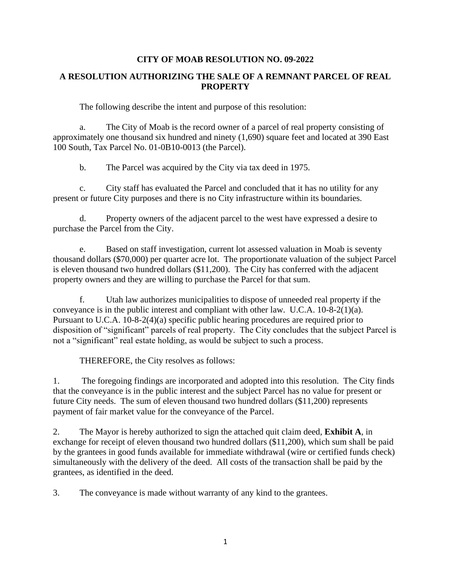## **CITY OF MOAB RESOLUTION NO. 09-2022**

## **A RESOLUTION AUTHORIZING THE SALE OF A REMNANT PARCEL OF REAL PROPERTY**

The following describe the intent and purpose of this resolution:

a. The City of Moab is the record owner of a parcel of real property consisting of approximately one thousand six hundred and ninety (1,690) square feet and located at 390 East 100 South, Tax Parcel No. 01-0B10-0013 (the Parcel).

b. The Parcel was acquired by the City via tax deed in 1975.

c. City staff has evaluated the Parcel and concluded that it has no utility for any present or future City purposes and there is no City infrastructure within its boundaries.

d. Property owners of the adjacent parcel to the west have expressed a desire to purchase the Parcel from the City.

e. Based on staff investigation, current lot assessed valuation in Moab is seventy thousand dollars (\$70,000) per quarter acre lot. The proportionate valuation of the subject Parcel is eleven thousand two hundred dollars (\$11,200). The City has conferred with the adjacent property owners and they are willing to purchase the Parcel for that sum.

f. Utah law authorizes municipalities to dispose of unneeded real property if the conveyance is in the public interest and compliant with other law. U.C.A. 10-8-2(1)(a). Pursuant to U.C.A. 10-8-2(4)(a) specific public hearing procedures are required prior to disposition of "significant" parcels of real property. The City concludes that the subject Parcel is not a "significant" real estate holding, as would be subject to such a process.

THEREFORE, the City resolves as follows:

1. The foregoing findings are incorporated and adopted into this resolution. The City finds that the conveyance is in the public interest and the subject Parcel has no value for present or future City needs. The sum of eleven thousand two hundred dollars (\$11,200) represents payment of fair market value for the conveyance of the Parcel.

2. The Mayor is hereby authorized to sign the attached quit claim deed, **Exhibit A**, in exchange for receipt of eleven thousand two hundred dollars (\$11,200), which sum shall be paid by the grantees in good funds available for immediate withdrawal (wire or certified funds check) simultaneously with the delivery of the deed. All costs of the transaction shall be paid by the grantees, as identified in the deed.

3. The conveyance is made without warranty of any kind to the grantees.